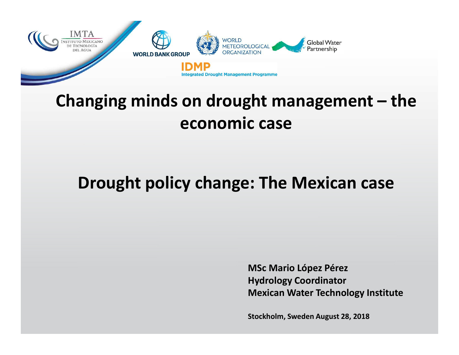

## **Changing minds on drought management – the economic case**

### **Drought policy change: The Mexican case**

**MSc Mario López PérezHydrology CoordinatorMexican Water Technology Institute**

**Stockholm, Sweden August 28, 2018**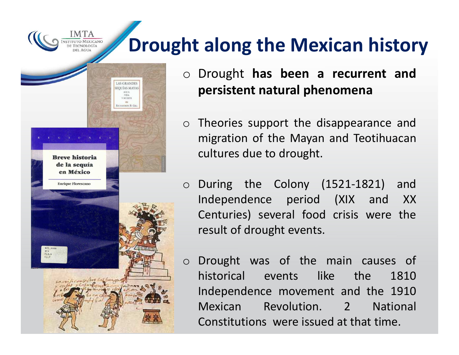# **Drought along the Mexican history**



- o Drought **has been <sup>a</sup> recurrent and persistent natural phenomena**
- o Theories support the disappearance and migration of the Mayan and Teotihuacancultures due to drought.
- oDuring the Colony (1521-1821) and<br>Independence period (XIX and XX Independence period (XIX Centuries) several food crisis were the result of drought events.
- oDrought was of the main causes of<br>historical events like the 1810 historical events Independence movement and the <sup>1910</sup> Mexican Revolution. <sup>2</sup> National Constitutions were issued at that time.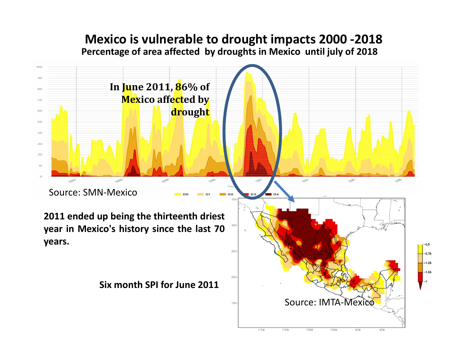#### **Percentage of area affected by droughts in Mexico until july of <sup>2018</sup> Mexico is vulnerable to drought impacts 2000 -2018**

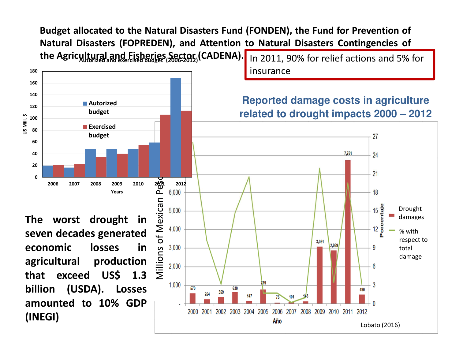**the Agricultural and Fisheries Sector (CADENA).** In 2011, 90% for relief actions and 5% for Budget allocated to the Natural Disasters Fund (FONDEN), the Fund for Prevention of **Natural Disasters (FOPREDEN), and Attention to Natural Disasters Contingencies of**

insurance



**The worst drought in seven decades generated**in **economic losses in agricultural production that exceed US\$ 1.3 billion (USDA). Losses amounted to 10% GDP(INEGI)**

**Reported damage costs in agriculture related to drought impacts 2000 – 2012** 

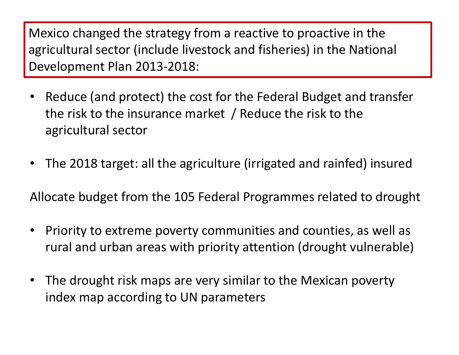Mexico changed the strategy from a reactive to proactive in the<br>sarioutural sector (include livesteak and fisherica) in the Nation agricultural sector (include livestock and fisheries) in the National Development Plan 2013-2018:

- • Reduce (and protect) the cost for the Federal Budget and transfer the risk to the insurance market / Reduce the risk to the agricultural sector
- •The 2018 target: all the agriculture (irrigated and rainfed) insured

Allocate budget from the 105 Federal Programmes related to drought

- • Priority to extreme poverty communities and counties, as well as rural and urban areas with priority attention (drought vulnerable)
- • The drought risk maps are very similar to the Mexican poverty index map according to UN parameters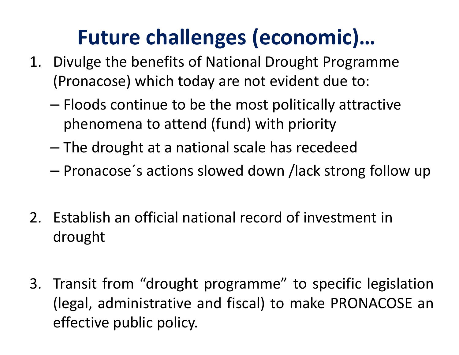## **Future challenges (economic)…**

- 1. Divulge the benefits of National Drought Programme (Pronacose) which today are not evident due to:
	- –– Floods continue to be the most politically attractive phenomena to attend (fund) with priority
	- – $-$  The drought at a national scale has recedeed
	- –— Pronacose´s actions slowed down /lack strong follow up
- 2. Establish an official national record of investment indrought
- 3. Transit from "drought programme" to specific legislation<br>(legal administrative and fissal) to make PROMAGOSE and (legal, administrative and fiscal) to make PRONACOSE aneffective public policy.